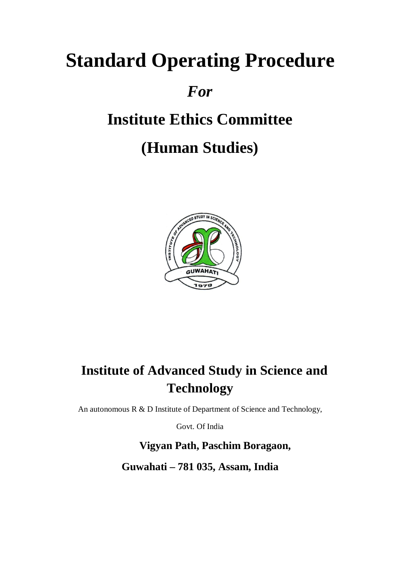# **Standard Operating Procedure**

## *For*

# **Institute Ethics Committee**

## **(Human Studies)**



## **Institute of Advanced Study in Science and Technology**

An autonomous R & D Institute of Department of Science and Technology,

Govt. Of India

 **Vigyan Path, Paschim Boragaon, Guwahati – 781 035, Assam, India**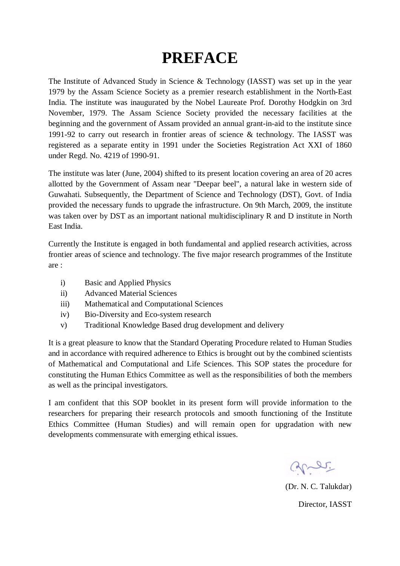## **PREFACE**

The Institute of Advanced Study in Science & Technology (IASST) was set up in the year 1979 by the Assam Science Society as a premier research establishment in the North-East India. The institute was inaugurated by the Nobel Laureate Prof. Dorothy Hodgkin on 3rd November, 1979. The Assam Science Society provided the necessary facilities at the beginning and the government of Assam provided an annual grant-in-aid to the institute since 1991-92 to carry out research in frontier areas of science & technology. The IASST was registered as a separate entity in 1991 under the Societies Registration Act XXI of 1860 under Regd. No. 4219 of 1990-91.

The institute was later (June, 2004) shifted to its present location covering an area of 20 acres allotted by the Government of Assam near "Deepar beel", a natural lake in western side of Guwahati. Subsequently, the Department of Science and Technology (DST), Govt. of India provided the necessary funds to upgrade the infrastructure. On 9th March, 2009, the institute was taken over by DST as an important national multidisciplinary R and D institute in North East India.

Currently the Institute is engaged in both fundamental and applied research activities, across frontier areas of science and technology. The five major research programmes of the Institute are :

- i) Basic and Applied Physics
- ii) Advanced Material Sciences
- iii) Mathematical and Computational Sciences
- iv) Bio-Diversity and Eco-system research
- v) Traditional Knowledge Based drug development and delivery

It is a great pleasure to know that the Standard Operating Procedure related to Human Studies and in accordance with required adherence to Ethics is brought out by the combined scientists of Mathematical and Computational and Life Sciences. This SOP states the procedure for constituting the Human Ethics Committee as well as the responsibilities of both the members as well as the principal investigators.

I am confident that this SOP booklet in its present form will provide information to the researchers for preparing their research protocols and smooth functioning of the Institute Ethics Committee (Human Studies) and will remain open for upgradation with new developments commensurate with emerging ethical issues.

grer.

(Dr. N. C. Talukdar) Director, IASST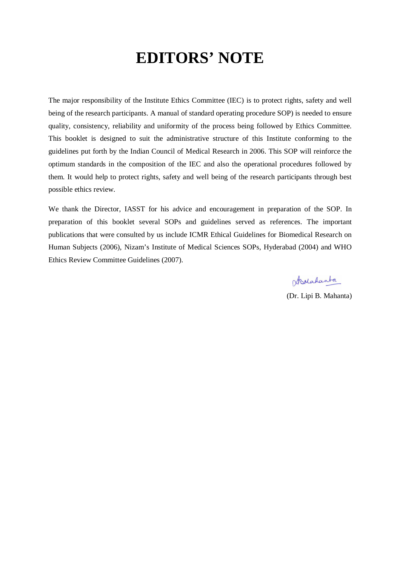## **EDITORS' NOTE**

The major responsibility of the Institute Ethics Committee (IEC) is to protect rights, safety and well being of the research participants. A manual of standard operating procedure SOP) is needed to ensure quality, consistency, reliability and uniformity of the process being followed by Ethics Committee. This booklet is designed to suit the administrative structure of this Institute conforming to the guidelines put forth by the Indian Council of Medical Research in 2006. This SOP will reinforce the optimum standards in the composition of the IEC and also the operational procedures followed by them. It would help to protect rights, safety and well being of the research participants through best possible ethics review.

We thank the Director, IASST for his advice and encouragement in preparation of the SOP. In preparation of this booklet several SOPs and guidelines served as references. The important publications that were consulted by us include ICMR Ethical Guidelines for Biomedical Research on Human Subjects (2006), Nizam's Institute of Medical Sciences SOPs, Hyderabad (2004) and WHO Ethics Review Committee Guidelines (2007).

Schalanta

(Dr. Lipi B. Mahanta)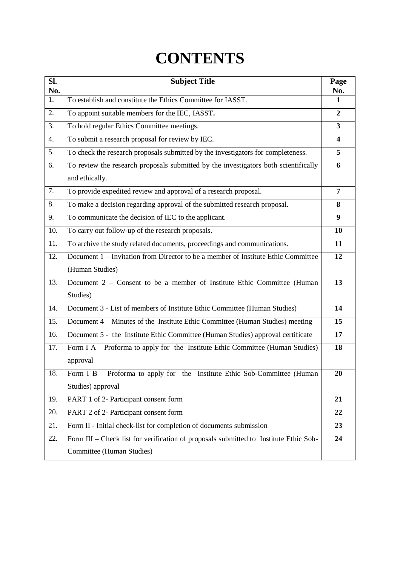## **CONTENTS**

| SI.<br>No. | <b>Subject Title</b>                                                                  | Page<br>No.             |
|------------|---------------------------------------------------------------------------------------|-------------------------|
| 1.         | To establish and constitute the Ethics Committee for IASST.                           | $\mathbf{1}$            |
| 2.         | To appoint suitable members for the IEC, IASST.                                       | $\mathbf{2}$            |
| 3.         | To hold regular Ethics Committee meetings.                                            | 3                       |
| 4.         | To submit a research proposal for review by IEC.                                      | $\overline{\mathbf{4}}$ |
| 5.         | To check the research proposals submitted by the investigators for completeness.      | 5                       |
| 6.         | To review the research proposals submitted by the investigators both scientifically   | 6                       |
|            | and ethically.                                                                        |                         |
| 7.         | To provide expedited review and approval of a research proposal.                      | 7                       |
| 8.         | To make a decision regarding approval of the submitted research proposal.             | 8                       |
| 9.         | To communicate the decision of IEC to the applicant.                                  | 9                       |
| 10.        | To carry out follow-up of the research proposals.                                     | <b>10</b>               |
| 11.        | To archive the study related documents, proceedings and communications.               | 11                      |
| 12.        | Document 1 – Invitation from Director to be a member of Institute Ethic Committee     | 12                      |
|            | (Human Studies)                                                                       |                         |
| 13.        | Document 2 – Consent to be a member of Institute Ethic Committee (Human               | 13                      |
|            | Studies)                                                                              |                         |
| 14.        | Document 3 - List of members of Institute Ethic Committee (Human Studies)             | 14                      |
| 15.        | Document 4 – Minutes of the Institute Ethic Committee (Human Studies) meeting         | 15                      |
| 16.        | Document 5 - the Institute Ethic Committee (Human Studies) approval certificate       | 17                      |
| 17.        | Form I A – Proforma to apply for the Institute Ethic Committee (Human Studies)        | 18                      |
|            | approval                                                                              |                         |
| 18.        | Form I B - Proforma to apply for the Institute Ethic Sob-Committee (Human             | 20                      |
|            | Studies) approval                                                                     |                         |
| 19.        | PART 1 of 2- Participant consent form                                                 | 21                      |
| 20.        | PART 2 of 2- Participant consent form                                                 | 22                      |
| 21.        | Form II - Initial check-list for completion of documents submission                   | 23                      |
| 22.        | Form III - Check list for verification of proposals submitted to Institute Ethic Sob- | 24                      |
|            | Committee (Human Studies)                                                             |                         |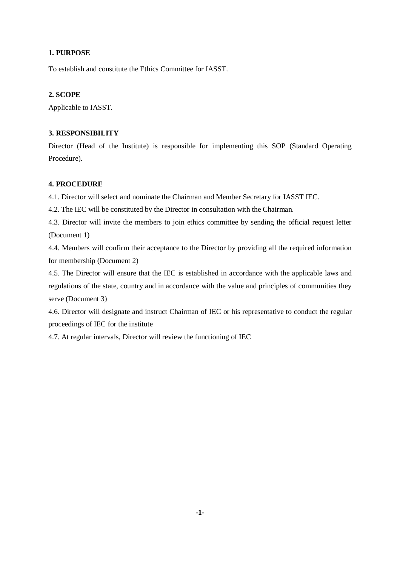To establish and constitute the Ethics Committee for IASST.

## **2. SCOPE**

Applicable to IASST.

## **3. RESPONSIBILITY**

Director (Head of the Institute) is responsible for implementing this SOP (Standard Operating Procedure).

## **4. PROCEDURE**

4.1. Director will select and nominate the Chairman and Member Secretary for IASST IEC.

4.2. The IEC will be constituted by the Director in consultation with the Chairman.

4.3. Director will invite the members to join ethics committee by sending the official request letter (Document 1)

4.4. Members will confirm their acceptance to the Director by providing all the required information for membership (Document 2)

4.5. The Director will ensure that the IEC is established in accordance with the applicable laws and regulations of the state, country and in accordance with the value and principles of communities they serve (Document 3)

4.6. Director will designate and instruct Chairman of IEC or his representative to conduct the regular proceedings of IEC for the institute

4.7. At regular intervals, Director will review the functioning of IEC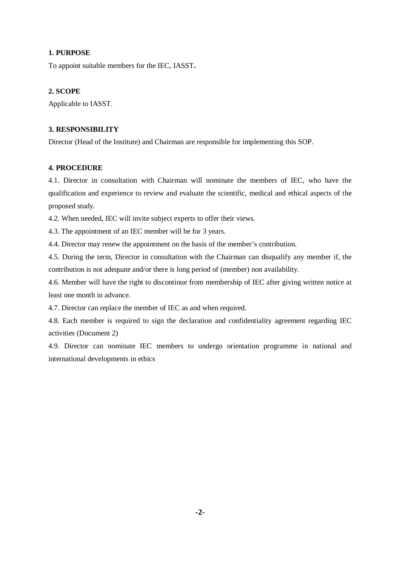To appoint suitable members for the IEC, IASST**.**

### **2. SCOPE**

Applicable to IASST.

## **3. RESPONSIBILITY**

Director (Head of the Institute) and Chairman are responsible for implementing this SOP.

#### **4. PROCEDURE**

4.1. Director in consultation with Chairman will nominate the members of IEC, who have the qualification and experience to review and evaluate the scientific, medical and ethical aspects of the proposed study.

4.2. When needed, IEC will invite subject experts to offer their views.

4.3. The appointment of an IEC member will be for 3 years.

4.4. Director may renew the appointment on the basis of the member's contribution.

4.5. During the term, Director in consultation with the Chairman can disqualify any member if, the contribution is not adequate and/or there is long period of (member) non availability.

4.6. Member will have the right to discontinue from membership of IEC after giving written notice at least one month in advance.

4.7. Director can replace the member of IEC as and when required.

4.8. Each member is required to sign the declaration and confidentiality agreement regarding IEC activities (Document 2)

4.9. Director can nominate IEC members to undergo orientation programme in national and international developments in ethics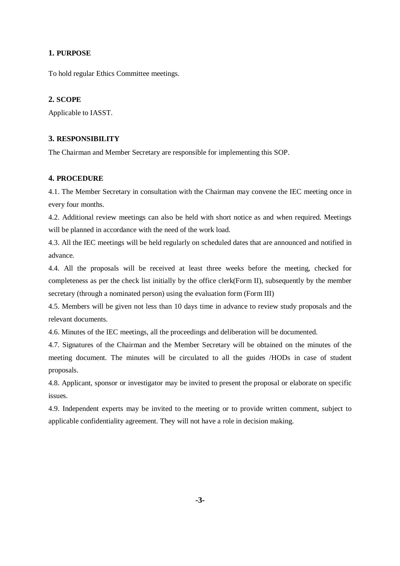To hold regular Ethics Committee meetings.

## **2. SCOPE**

Applicable to IASST.

#### **3. RESPONSIBILITY**

The Chairman and Member Secretary are responsible for implementing this SOP.

#### **4. PROCEDURE**

4.1. The Member Secretary in consultation with the Chairman may convene the IEC meeting once in every four months.

4.2. Additional review meetings can also be held with short notice as and when required. Meetings will be planned in accordance with the need of the work load.

4.3. All the IEC meetings will be held regularly on scheduled dates that are announced and notified in advance.

4.4. All the proposals will be received at least three weeks before the meeting, checked for completeness as per the check list initially by the office clerk(Form II), subsequently by the member secretary (through a nominated person) using the evaluation form (Form III)

4.5. Members will be given not less than 10 days time in advance to review study proposals and the relevant documents.

4.6. Minutes of the IEC meetings, all the proceedings and deliberation will be documented.

4.7. Signatures of the Chairman and the Member Secretary will be obtained on the minutes of the meeting document. The minutes will be circulated to all the guides /HODs in case of student proposals.

4.8. Applicant, sponsor or investigator may be invited to present the proposal or elaborate on specific issues.

4.9. Independent experts may be invited to the meeting or to provide written comment, subject to applicable confidentiality agreement. They will not have a role in decision making.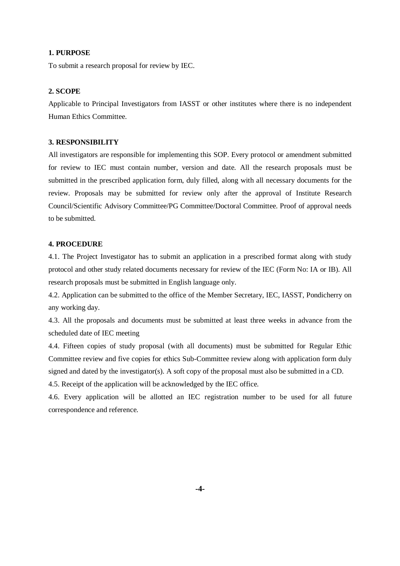To submit a research proposal for review by IEC.

#### **2. SCOPE**

Applicable to Principal Investigators from IASST or other institutes where there is no independent Human Ethics Committee.

#### **3. RESPONSIBILITY**

All investigators are responsible for implementing this SOP. Every protocol or amendment submitted for review to IEC must contain number, version and date. All the research proposals must be submitted in the prescribed application form, duly filled, along with all necessary documents for the review. Proposals may be submitted for review only after the approval of Institute Research Council/Scientific Advisory Committee/PG Committee/Doctoral Committee. Proof of approval needs to be submitted.

#### **4. PROCEDURE**

4.1. The Project Investigator has to submit an application in a prescribed format along with study protocol and other study related documents necessary for review of the IEC (Form No: IA or IB). All research proposals must be submitted in English language only.

4.2. Application can be submitted to the office of the Member Secretary, IEC, IASST, Pondicherry on any working day.

4.3. All the proposals and documents must be submitted at least three weeks in advance from the scheduled date of IEC meeting

4.4. Fifteen copies of study proposal (with all documents) must be submitted for Regular Ethic Committee review and five copies for ethics Sub-Committee review along with application form duly signed and dated by the investigator(s). A soft copy of the proposal must also be submitted in a CD.

4.5. Receipt of the application will be acknowledged by the IEC office.

4.6. Every application will be allotted an IEC registration number to be used for all future correspondence and reference.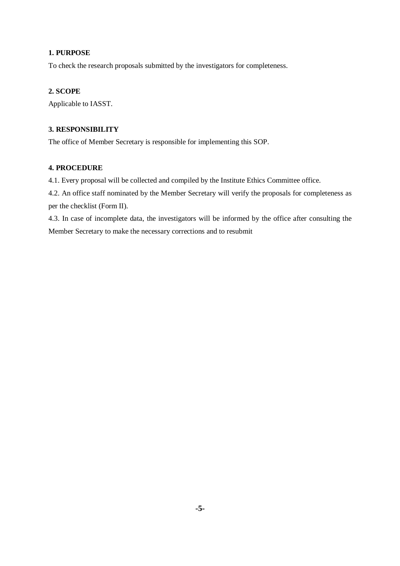To check the research proposals submitted by the investigators for completeness.

## **2. SCOPE**

Applicable to IASST.

## **3. RESPONSIBILITY**

The office of Member Secretary is responsible for implementing this SOP.

## **4. PROCEDURE**

4.1. Every proposal will be collected and compiled by the Institute Ethics Committee office.

4.2. An office staff nominated by the Member Secretary will verify the proposals for completeness as per the checklist (Form II).

4.3. In case of incomplete data, the investigators will be informed by the office after consulting the Member Secretary to make the necessary corrections and to resubmit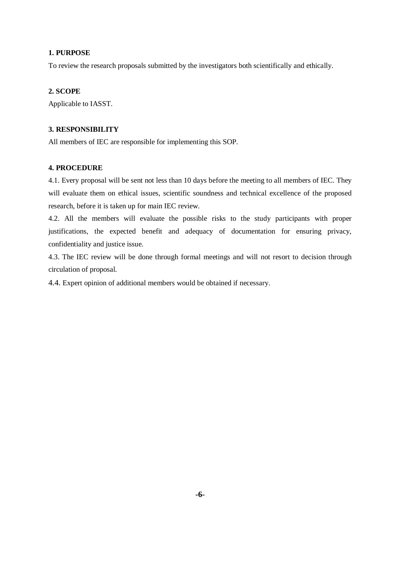To review the research proposals submitted by the investigators both scientifically and ethically.

#### **2. SCOPE**

Applicable to IASST.

## **3. RESPONSIBILITY**

All members of IEC are responsible for implementing this SOP.

#### **4. PROCEDURE**

4.1. Every proposal will be sent not less than 10 days before the meeting to all members of IEC. They will evaluate them on ethical issues, scientific soundness and technical excellence of the proposed research, before it is taken up for main IEC review.

4.2. All the members will evaluate the possible risks to the study participants with proper justifications, the expected benefit and adequacy of documentation for ensuring privacy, confidentiality and justice issue.

4.3. The IEC review will be done through formal meetings and will not resort to decision through circulation of proposal.

4.4. Expert opinion of additional members would be obtained if necessary.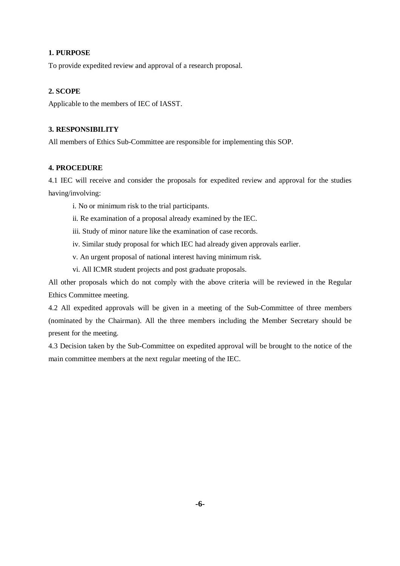To provide expedited review and approval of a research proposal.

#### **2. SCOPE**

Applicable to the members of IEC of IASST.

## **3. RESPONSIBILITY**

All members of Ethics Sub-Committee are responsible for implementing this SOP.

#### **4. PROCEDURE**

4.1 IEC will receive and consider the proposals for expedited review and approval for the studies having/involving:

- i. No or minimum risk to the trial participants.
- ii. Re examination of a proposal already examined by the IEC.
- iii. Study of minor nature like the examination of case records.
- iv. Similar study proposal for which IEC had already given approvals earlier.
- v. An urgent proposal of national interest having minimum risk.
- vi. All ICMR student projects and post graduate proposals.

All other proposals which do not comply with the above criteria will be reviewed in the Regular Ethics Committee meeting.

4.2 All expedited approvals will be given in a meeting of the Sub-Committee of three members (nominated by the Chairman). All the three members including the Member Secretary should be present for the meeting.

4.3 Decision taken by the Sub-Committee on expedited approval will be brought to the notice of the main committee members at the next regular meeting of the IEC.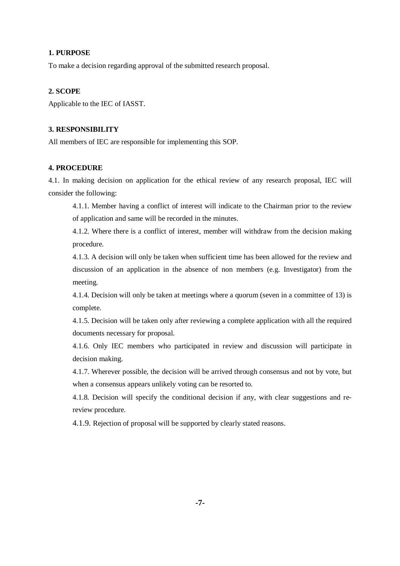To make a decision regarding approval of the submitted research proposal.

#### **2. SCOPE**

Applicable to the IEC of IASST.

#### **3. RESPONSIBILITY**

All members of IEC are responsible for implementing this SOP.

#### **4. PROCEDURE**

4.1. In making decision on application for the ethical review of any research proposal, IEC will consider the following:

4.1.1. Member having a conflict of interest will indicate to the Chairman prior to the review of application and same will be recorded in the minutes.

4.1.2. Where there is a conflict of interest, member will withdraw from the decision making procedure.

4.1.3. A decision will only be taken when sufficient time has been allowed for the review and discussion of an application in the absence of non members (e.g. Investigator) from the meeting.

4.1.4. Decision will only be taken at meetings where a quorum (seven in a committee of 13) is complete.

4.1.5. Decision will be taken only after reviewing a complete application with all the required documents necessary for proposal.

4.1.6. Only IEC members who participated in review and discussion will participate in decision making.

4.1.7. Wherever possible, the decision will be arrived through consensus and not by vote, but when a consensus appears unlikely voting can be resorted to.

4.1.8. Decision will specify the conditional decision if any, with clear suggestions and rereview procedure.

4.1.9. Rejection of proposal will be supported by clearly stated reasons.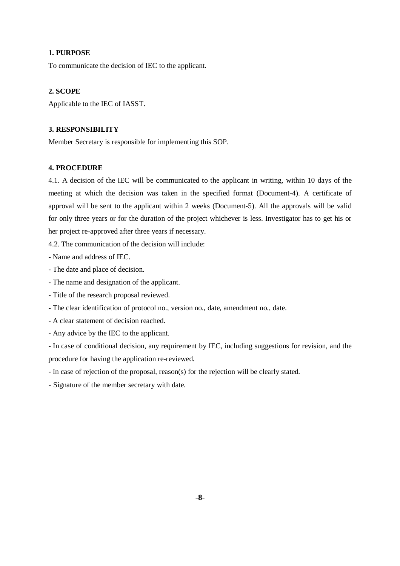To communicate the decision of IEC to the applicant.

#### **2. SCOPE**

Applicable to the IEC of IASST.

## **3. RESPONSIBILITY**

Member Secretary is responsible for implementing this SOP.

#### **4. PROCEDURE**

4.1. A decision of the IEC will be communicated to the applicant in writing, within 10 days of the meeting at which the decision was taken in the specified format (Document-4). A certificate of approval will be sent to the applicant within 2 weeks (Document-5). All the approvals will be valid for only three years or for the duration of the project whichever is less. Investigator has to get his or her project re-approved after three years if necessary.

4.2. The communication of the decision will include:

- Name and address of IEC.

- The date and place of decision.
- The name and designation of the applicant.
- Title of the research proposal reviewed.
- The clear identification of protocol no., version no., date, amendment no., date.
- A clear statement of decision reached.
- Any advice by the IEC to the applicant.

- In case of conditional decision, any requirement by IEC, including suggestions for revision, and the procedure for having the application re-reviewed.

- In case of rejection of the proposal, reason(s) for the rejection will be clearly stated.

- Signature of the member secretary with date.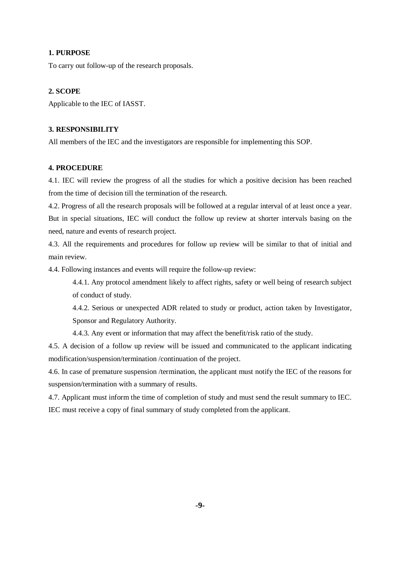To carry out follow-up of the research proposals.

#### **2. SCOPE**

Applicable to the IEC of IASST.

## **3. RESPONSIBILITY**

All members of the IEC and the investigators are responsible for implementing this SOP.

#### **4. PROCEDURE**

4.1. IEC will review the progress of all the studies for which a positive decision has been reached from the time of decision till the termination of the research.

4.2. Progress of all the research proposals will be followed at a regular interval of at least once a year. But in special situations, IEC will conduct the follow up review at shorter intervals basing on the need, nature and events of research project.

4.3. All the requirements and procedures for follow up review will be similar to that of initial and main review.

4.4. Following instances and events will require the follow-up review:

4.4.1. Any protocol amendment likely to affect rights, safety or well being of research subject of conduct of study.

4.4.2. Serious or unexpected ADR related to study or product, action taken by Investigator, Sponsor and Regulatory Authority.

4.4.3. Any event or information that may affect the benefit/risk ratio of the study.

4.5. A decision of a follow up review will be issued and communicated to the applicant indicating modification/suspension/termination /continuation of the project.

4.6. In case of premature suspension /termination, the applicant must notify the IEC of the reasons for suspension/termination with a summary of results.

4.7. Applicant must inform the time of completion of study and must send the result summary to IEC. IEC must receive a copy of final summary of study completed from the applicant.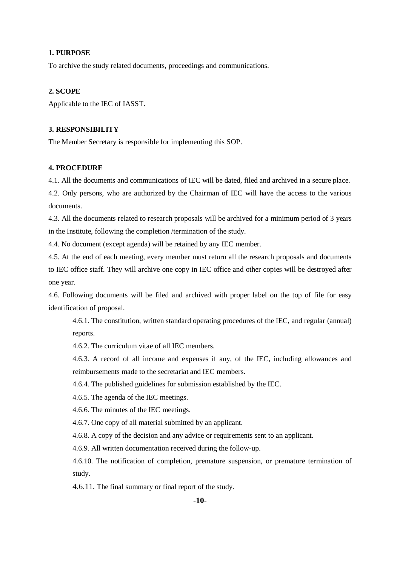To archive the study related documents, proceedings and communications.

#### **2. SCOPE**

Applicable to the IEC of IASST.

#### **3. RESPONSIBILITY**

The Member Secretary is responsible for implementing this SOP.

#### **4. PROCEDURE**

4.1. All the documents and communications of IEC will be dated, filed and archived in a secure place.

4.2. Only persons, who are authorized by the Chairman of IEC will have the access to the various documents.

4.3. All the documents related to research proposals will be archived for a minimum period of 3 years in the Institute, following the completion /termination of the study.

4.4. No document (except agenda) will be retained by any IEC member.

4.5. At the end of each meeting, every member must return all the research proposals and documents to IEC office staff. They will archive one copy in IEC office and other copies will be destroyed after one year.

4.6. Following documents will be filed and archived with proper label on the top of file for easy identification of proposal.

4.6.1. The constitution, written standard operating procedures of the IEC, and regular (annual) reports.

4.6.2. The curriculum vitae of all IEC members.

4.6.3. A record of all income and expenses if any, of the IEC, including allowances and reimbursements made to the secretariat and IEC members.

4.6.4. The published guidelines for submission established by the IEC.

4.6.5. The agenda of the IEC meetings.

4.6.6. The minutes of the IEC meetings.

4.6.7. One copy of all material submitted by an applicant.

4.6.8. A copy of the decision and any advice or requirements sent to an applicant.

4.6.9. All written documentation received during the follow-up.

4.6.10. The notification of completion, premature suspension, or premature termination of study.

4.6.11. The final summary or final report of the study.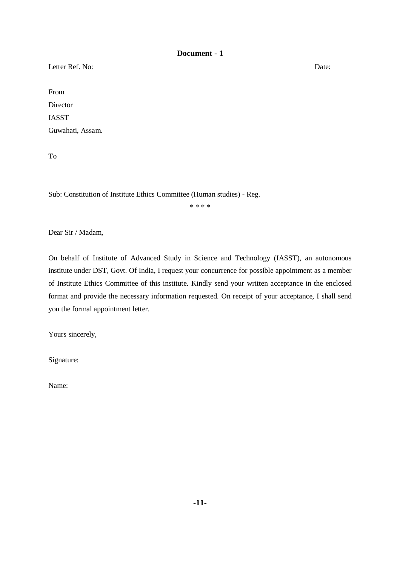Letter Ref. No: Date:

From Director IASST Guwahati, Assam.

To

Sub: Constitution of Institute Ethics Committee (Human studies) - Reg.

\* \* \* \*

Dear Sir / Madam,

On behalf of Institute of Advanced Study in Science and Technology (IASST), an autonomous institute under DST, Govt. Of India, I request your concurrence for possible appointment as a member of Institute Ethics Committee of this institute. Kindly send your written acceptance in the enclosed format and provide the necessary information requested. On receipt of your acceptance, I shall send you the formal appointment letter.

Yours sincerely,

Signature:

Name: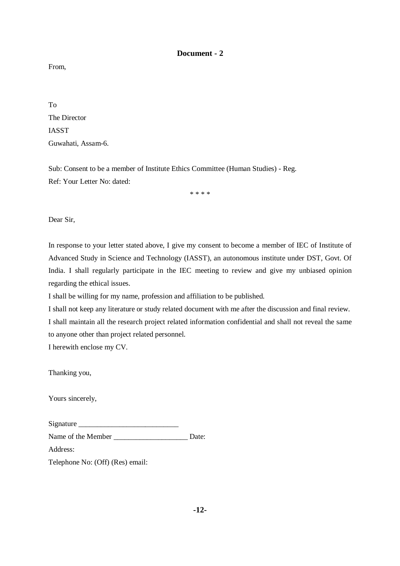From,

To The Director IASST Guwahati, Assam-6.

Sub: Consent to be a member of Institute Ethics Committee (Human Studies) - Reg. Ref: Your Letter No: dated:

\* \* \* \*

Dear Sir,

In response to your letter stated above, I give my consent to become a member of IEC of Institute of Advanced Study in Science and Technology (IASST), an autonomous institute under DST, Govt. Of India. I shall regularly participate in the IEC meeting to review and give my unbiased opinion regarding the ethical issues.

I shall be willing for my name, profession and affiliation to be published.

I shall not keep any literature or study related document with me after the discussion and final review. I shall maintain all the research project related information confidential and shall not reveal the same to anyone other than project related personnel.

I herewith enclose my CV.

Thanking you,

Yours sincerely,

| Signature |  |
|-----------|--|
|           |  |
|           |  |
|           |  |
|           |  |

Name of the Member \_\_\_\_\_\_\_\_\_\_\_\_\_\_\_\_\_\_\_\_\_\_\_\_\_ Date:

Address:

Telephone No: (Off) (Res) email: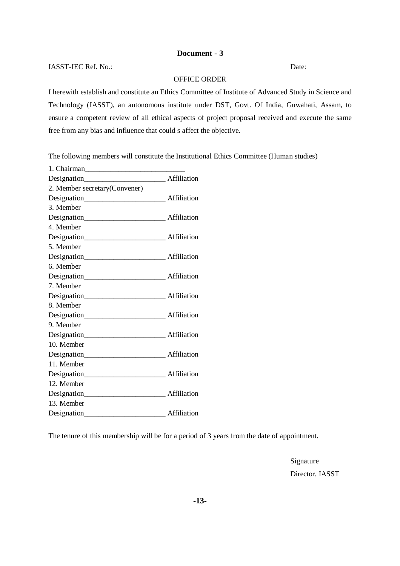IASST-IEC Ref. No.: Date:

## OFFICE ORDER

I herewith establish and constitute an Ethics Committee of Institute of Advanced Study in Science and Technology (IASST), an autonomous institute under DST, Govt. Of India, Guwahati, Assam, to ensure a competent review of all ethical aspects of project proposal received and execute the same free from any bias and influence that could s affect the objective.

The following members will constitute the Institutional Ethics Committee (Human studies)

The tenure of this membership will be for a period of 3 years from the date of appointment.

Signature Director, IASST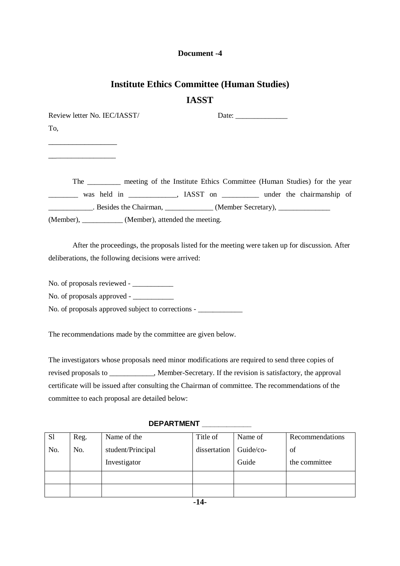## **Institute Ethics Committee (Human Studies) IASST**

Review letter No. IEC/IASST/ Date: To,

\_\_\_\_\_\_\_\_\_\_\_\_\_\_\_\_\_

 $\overline{\phantom{a}}$  , where  $\overline{\phantom{a}}$ 

The \_\_\_\_\_\_\_\_\_ meeting of the Institute Ethics Committee (Human Studies) for the year

was held in \_\_\_\_\_\_\_\_\_\_\_, IASST on \_\_\_\_\_\_\_\_\_ under the chairmanship of \_\_\_\_\_\_\_\_\_\_\_\_. Besides the Chairman, \_\_\_\_\_\_\_\_\_\_\_\_\_ (Member Secretary), \_\_\_\_\_\_\_\_\_\_\_\_\_\_ (Member), \_\_\_\_\_\_\_\_\_\_\_ (Member), attended the meeting.

After the proceedings, the proposals listed for the meeting were taken up for discussion. After deliberations, the following decisions were arrived:

No. of proposals reviewed - \_\_\_\_\_\_\_\_\_\_\_

No. of proposals approved - \_\_\_\_\_\_\_\_\_\_\_

No. of proposals approved subject to corrections - \_\_\_\_\_\_\_\_\_\_\_\_

The recommendations made by the committee are given below.

The investigators whose proposals need minor modifications are required to send three copies of revised proposals to \_\_\_\_\_\_\_\_\_\_\_\_, Member-Secretary. If the revision is satisfactory, the approval certificate will be issued after consulting the Chairman of committee. The recommendations of the committee to each proposal are detailed below:

| S <sub>1</sub> | Reg. | Name of the       | Title of     | Name of   | Recommendations |
|----------------|------|-------------------|--------------|-----------|-----------------|
| No.            | No.  | student/Principal | dissertation | Guide/co- | of              |
|                |      | Investigator      |              | Guide     | the committee   |
|                |      |                   |              |           |                 |
|                |      |                   |              |           |                 |

## DEPARTMENT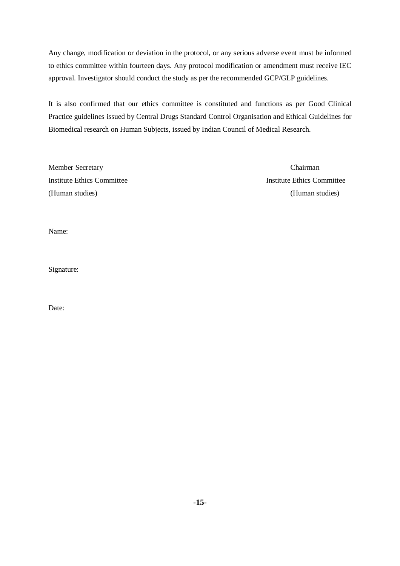Any change, modification or deviation in the protocol, or any serious adverse event must be informed to ethics committee within fourteen days. Any protocol modification or amendment must receive IEC approval. Investigator should conduct the study as per the recommended GCP/GLP guidelines.

It is also confirmed that our ethics committee is constituted and functions as per Good Clinical Practice guidelines issued by Central Drugs Standard Control Organisation and Ethical Guidelines for Biomedical research on Human Subjects, issued by Indian Council of Medical Research.

Member Secretary Chairman (Human studies) (Human studies)

Institute Ethics Committee Institute Ethics Committee

Name:

Signature:

Date: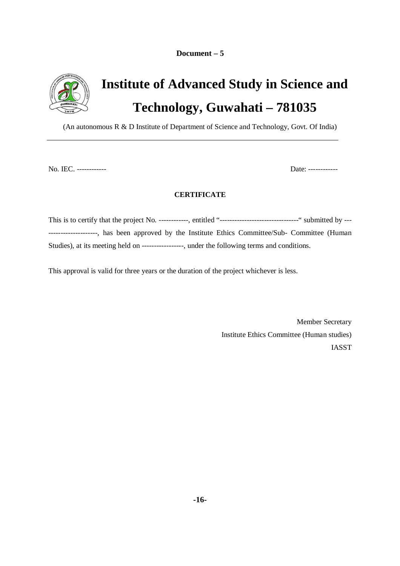**Document – 5**



## **Institute of Advanced Study in Science and Technology, Guwahati – 781035**

(An autonomous R & D Institute of Department of Science and Technology, Govt. Of India)

No. IEC. ------------ Date: ------------

## **CERTIFICATE**

This is to certify that the project No. ------------, entitled "--------------------------------" submitted by --- --------------------, has been approved by the Institute Ethics Committee/Sub- Committee (Human Studies), at its meeting held on -----------------, under the following terms and conditions.

This approval is valid for three years or the duration of the project whichever is less.

Member Secretary Institute Ethics Committee (Human studies) IASST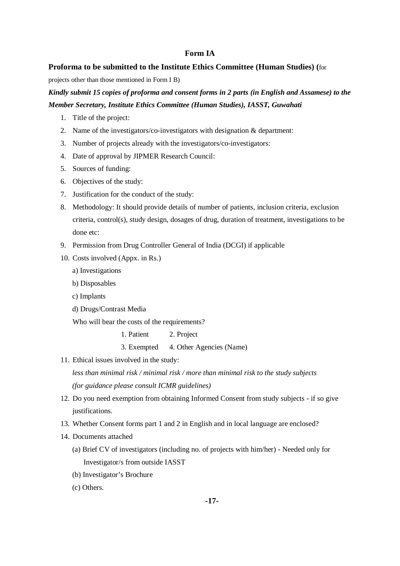## **Form IA**

#### **Proforma to be submitted to the Institute Ethics Committee (Human Studies) (**for

projects other than those mentioned in Form I B)

*Kindly submit 15 copies of proforma and consent forms in 2 parts (in English and Assamese) to the Member Secretary, Institute Ethics Committee (Human Studies), IASST, Guwahati*

- 1. Title of the project:
- 2. Name of the investigators/co-investigators with designation & department:
- 3. Number of projects already with the investigators/co-investigators:
- 4. Date of approval by JIPMER Research Council:
- 5. Sources of funding:
- 6. Objectives of the study:
- 7. Justification for the conduct of the study:
- 8. Methodology: It should provide details of number of patients, inclusion criteria, exclusion criteria, control(s), study design, dosages of drug, duration of treatment, investigations to be done etc:
- 9. Permission from Drug Controller General of India (DCGI) if applicable
- 10. Costs involved (Appx. in Rs.)
	- a) Investigations
	- b) Disposables
	- c) Implants
	- d) Drugs/Contrast Media

Who will bear the costs of the requirements?

1. Patient 2. Project

- 3. Exempted 4. Other Agencies (Name)
- 11. Ethical issues involved in the study:

*less than minimal risk / minimal risk / more than minimal risk to the study subjects (for guidance please consult ICMR guidelines)*

- 12. Do you need exemption from obtaining Informed Consent from study subjects if so give justifications.
- 13. Whether Consent forms part 1 and 2 in English and in local language are enclosed?
- 14. Documents attached
	- (a) Brief CV of investigators (including no. of projects with him/her) Needed only for Investigator/s from outside IASST
	- (b) Investigator's Brochure
	- (c) Others.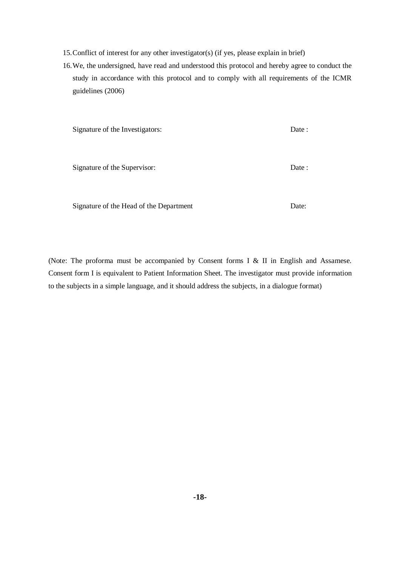- 15.Conflict of interest for any other investigator(s) (if yes, please explain in brief)
- 16.We, the undersigned, have read and understood this protocol and hereby agree to conduct the study in accordance with this protocol and to comply with all requirements of the ICMR guidelines (2006)

| Signature of the Investigators:         | Date : |
|-----------------------------------------|--------|
|                                         |        |
| Signature of the Supervisor:            | Date : |
|                                         |        |
| Signature of the Head of the Department | Date:  |

(Note: The proforma must be accompanied by Consent forms I & II in English and Assamese. Consent form I is equivalent to Patient Information Sheet. The investigator must provide information to the subjects in a simple language, and it should address the subjects, in a dialogue format)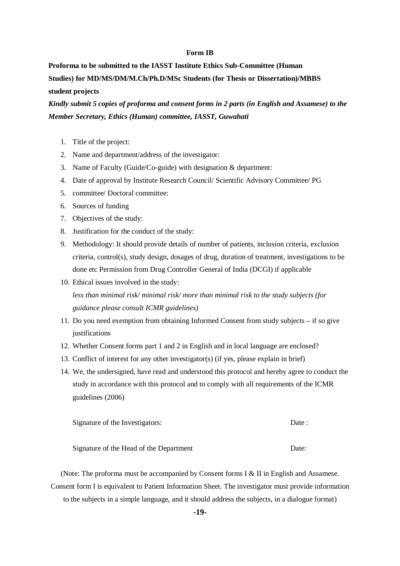#### **Form IB**

**Proforma to be submitted to the IASST Institute Ethics Sub-Committee (Human Studies) for MD/MS/DM/M.Ch/Ph.D/MSc Students (for Thesis or Dissertation)/MBBS student projects**

*Kindly submit 5 copies of proforma and consent forms in 2 parts (in English and Assamese) to the Member Secretary, Ethics (Human) committee, IASST, Guwahati*

- 1. Title of the project:
- 2. Name and department/address of the investigator:
- 3. Name of Faculty (Guide/Co-guide) with designation & department:
- 4. Date of approval by Institute Research Council/ Scientific Advisory Committee/ PG
- 5. committee/ Doctoral committee:
- 6. Sources of funding
- 7. Objectives of the study:
- 8. Justification for the conduct of the study:
- 9. Methodology: It should provide details of number of patients, inclusion criteria, exclusion criteria, control(s), study design, dosages of drug, duration of treatment, investigations to be done etc Permission from Drug Controller General of India (DCGI) if applicable
- 10. Ethical issues involved in the study: *less than minimal risk/ minimal risk/ more than minimal risk to the study subjects (for guidance please consult ICMR guidelines)*
- 11. Do you need exemption from obtaining Informed Consent from study subjects if so give justifications
- 12. Whether Consent forms part 1 and 2 in English and in local language are enclosed?
- 13. Conflict of interest for any other investigator(s) (if yes, please explain in brief)
- 14. We, the undersigned, have read and understood this protocol and hereby agree to conduct the study in accordance with this protocol and to comply with all requirements of the ICMR guidelines (2006)

| Signature of the Investigators:         | Date: |
|-----------------------------------------|-------|
| Signature of the Head of the Department | Date: |

(Note: The proforma must be accompanied by Consent forms I & II in English and Assamese. Consent form I is equivalent to Patient Information Sheet. The investigator must provide information to the subjects in a simple language, and it should address the subjects, in a dialogue format)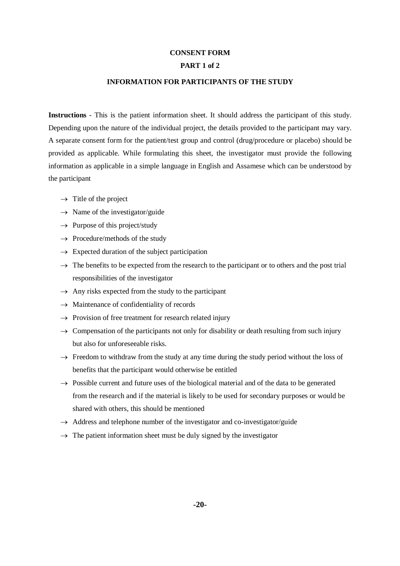### **CONSENT FORM**

#### **PART 1 of 2**

#### **INFORMATION FOR PARTICIPANTS OF THE STUDY**

**Instructions** - This is the patient information sheet. It should address the participant of this study. Depending upon the nature of the individual project, the details provided to the participant may vary. A separate consent form for the patient/test group and control (drug/procedure or placebo) should be provided as applicable. While formulating this sheet, the investigator must provide the following information as applicable in a simple language in English and Assamese which can be understood by the participant

- $\rightarrow$  Title of the project
- $\rightarrow$  Name of the investigator/guide
- $\rightarrow$  Purpose of this project/study
- $\rightarrow$  Procedure/methods of the study
- $\rightarrow$  Expected duration of the subject participation
- $\rightarrow$  The benefits to be expected from the research to the participant or to others and the post trial responsibilities of the investigator
- $\rightarrow$  Any risks expected from the study to the participant
- $\rightarrow$  Maintenance of confidentiality of records
- $\rightarrow$  Provision of free treatment for research related injury
- $\rightarrow$  Compensation of the participants not only for disability or death resulting from such injury but also for unforeseeable risks.
- $\rightarrow$  Freedom to withdraw from the study at any time during the study period without the loss of benefits that the participant would otherwise be entitled
- $\rightarrow$  Possible current and future uses of the biological material and of the data to be generated from the research and if the material is likely to be used for secondary purposes or would be shared with others, this should be mentioned
- $\rightarrow$  Address and telephone number of the investigator and co-investigator/guide
- $\rightarrow$  The patient information sheet must be duly signed by the investigator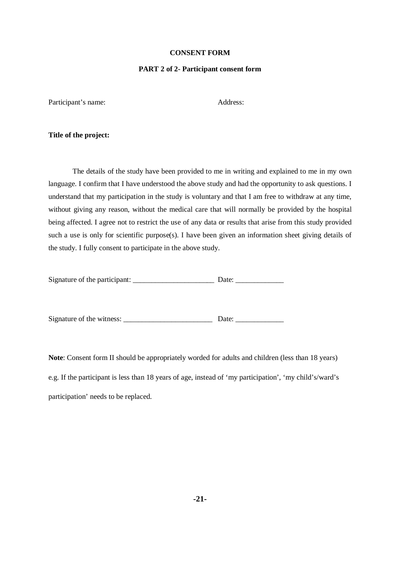#### **CONSENT FORM**

#### **PART 2 of 2- Participant consent form**

Participant's name: Address:

#### **Title of the project:**

The details of the study have been provided to me in writing and explained to me in my own language. I confirm that I have understood the above study and had the opportunity to ask questions. I understand that my participation in the study is voluntary and that I am free to withdraw at any time, without giving any reason, without the medical care that will normally be provided by the hospital being affected. I agree not to restrict the use of any data or results that arise from this study provided such a use is only for scientific purpose(s). I have been given an information sheet giving details of the study. I fully consent to participate in the above study.

| Signature of the participant: |  | Date: |  |
|-------------------------------|--|-------|--|
|                               |  |       |  |

Signature of the witness: \_\_\_\_\_\_\_\_\_\_\_\_\_\_\_\_\_\_\_\_\_\_\_\_ Date: \_\_\_\_\_\_\_\_\_\_\_\_\_

**Note**: Consent form II should be appropriately worded for adults and children (less than 18 years) e.g. If the participant is less than 18 years of age, instead of 'my participation', 'my child's/ward's participation' needs to be replaced.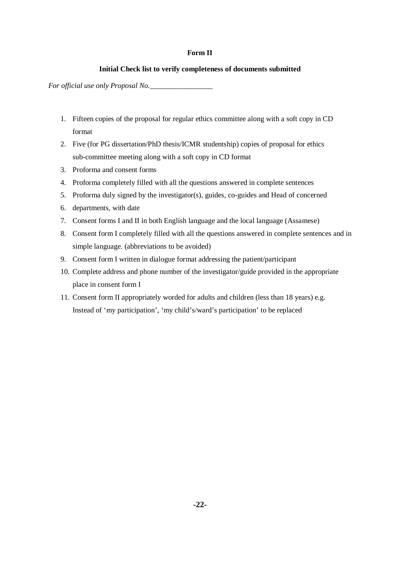#### **Form II**

### **Initial Check list to verify completeness of documents submitted**

*For official use only Proposal No.\_\_\_\_\_\_\_\_\_\_\_\_\_\_\_\_\_*

- 1. Fifteen copies of the proposal for regular ethics committee along with a soft copy in CD format
- 2. Five (for PG dissertation/PhD thesis/ICMR studentship) copies of proposal for ethics sub-committee meeting along with a soft copy in CD format
- 3. Proforma and consent forms
- 4. Proforma completely filled with all the questions answered in complete sentences
- 5. Proforma duly signed by the investigator(s), guides, co-guides and Head of concerned
- 6. departments, with date
- 7. Consent forms I and II in both English language and the local language (Assamese)
- 8. Consent form I completely filled with all the questions answered in complete sentences and in simple language. (abbreviations to be avoided)
- 9. Consent form I written in dialogue format addressing the patient/participant
- 10. Complete address and phone number of the investigator/guide provided in the appropriate place in consent form I
- 11. Consent form II appropriately worded for adults and children (less than 18 years) e.g. Instead of 'my participation', 'my child's/ward's participation' to be replaced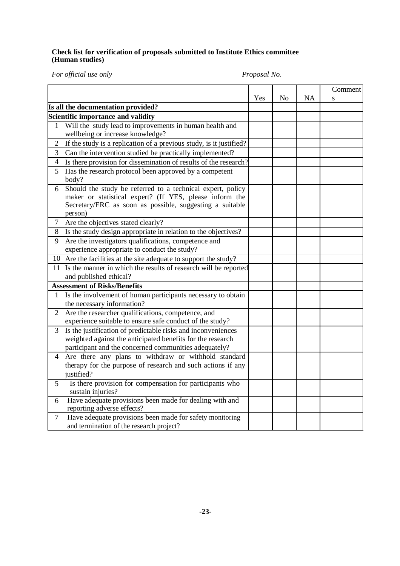### **Check list for verification of proposals submitted to Institute Ethics committee (Human studies)**

*For official use only Proposal No.*

|                |                                                                                                                                                                                              |     |    |    | Comment |
|----------------|----------------------------------------------------------------------------------------------------------------------------------------------------------------------------------------------|-----|----|----|---------|
|                |                                                                                                                                                                                              | Yes | No | NA | S       |
|                | Is all the documentation provided?                                                                                                                                                           |     |    |    |         |
|                | Scientific importance and validity                                                                                                                                                           |     |    |    |         |
| 1              | Will the study lead to improvements in human health and                                                                                                                                      |     |    |    |         |
|                | wellbeing or increase knowledge?                                                                                                                                                             |     |    |    |         |
| $\overline{2}$ | If the study is a replication of a previous study, is it justified?                                                                                                                          |     |    |    |         |
| 3              | Can the intervention studied be practically implemented?                                                                                                                                     |     |    |    |         |
| $\overline{4}$ | Is there provision for dissemination of results of the research?                                                                                                                             |     |    |    |         |
| 5              | Has the research protocol been approved by a competent<br>body?                                                                                                                              |     |    |    |         |
| 6              | Should the study be referred to a technical expert, policy<br>maker or statistical expert? (If YES, please inform the<br>Secretary/ERC as soon as possible, suggesting a suitable<br>person) |     |    |    |         |
| $\tau$         | Are the objectives stated clearly?                                                                                                                                                           |     |    |    |         |
| 8              | Is the study design appropriate in relation to the objectives?                                                                                                                               |     |    |    |         |
| 9              | Are the investigators qualifications, competence and                                                                                                                                         |     |    |    |         |
|                | experience appropriate to conduct the study?                                                                                                                                                 |     |    |    |         |
|                | 10 Are the facilities at the site adequate to support the study?                                                                                                                             |     |    |    |         |
|                | 11 Is the manner in which the results of research will be reported<br>and published ethical?                                                                                                 |     |    |    |         |
|                | <b>Assessment of Risks/Benefits</b>                                                                                                                                                          |     |    |    |         |
| 1              | Is the involvement of human participants necessary to obtain<br>the necessary information?                                                                                                   |     |    |    |         |
| $\overline{2}$ | Are the researcher qualifications, competence, and<br>experience suitable to ensure safe conduct of the study?                                                                               |     |    |    |         |
| 3              | Is the justification of predictable risks and inconveniences<br>weighted against the anticipated benefits for the research<br>participant and the concerned communities adequately?          |     |    |    |         |
| 4              | Are there any plans to withdraw or withhold standard<br>therapy for the purpose of research and such actions if any<br>justified?                                                            |     |    |    |         |
| 5              | Is there provision for compensation for participants who<br>sustain injuries?                                                                                                                |     |    |    |         |
| 6              | Have adequate provisions been made for dealing with and<br>reporting adverse effects?                                                                                                        |     |    |    |         |
| 7              | Have adequate provisions been made for safety monitoring<br>and termination of the research project?                                                                                         |     |    |    |         |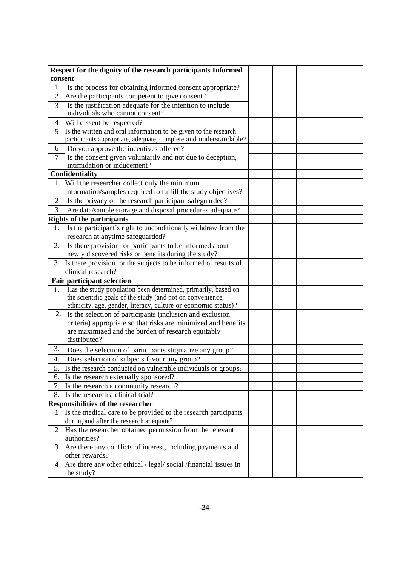|                | Respect for the dignity of the research participants Informed    |  |  |
|----------------|------------------------------------------------------------------|--|--|
| consent        |                                                                  |  |  |
| 1              | Is the process for obtaining informed consent appropriate?       |  |  |
| $\overline{2}$ | Are the participants competent to give consent?                  |  |  |
| 3              | Is the justification adequate for the intention to include       |  |  |
|                | individuals who cannot consent?                                  |  |  |
| 4              | Will dissent be respected?                                       |  |  |
| 5              | Is the written and oral information to be given to the research  |  |  |
|                | participants appropriate, adequate, complete and understandable? |  |  |
| 6              | Do you approve the incentives offered?                           |  |  |
| 7              | Is the consent given voluntarily and not due to deception,       |  |  |
|                | intimidation or inducement?                                      |  |  |
|                | Confidentiality                                                  |  |  |
| 1              | Will the researcher collect only the minimum                     |  |  |
|                | information/samples required to fulfill the study objectives?    |  |  |
| $\overline{2}$ | Is the privacy of the research participant safeguarded?          |  |  |
| 3              | Are data/sample storage and disposal procedures adequate?        |  |  |
|                | <b>Rights of the participants</b>                                |  |  |
| 1.             | Is the participant's right to unconditionally withdraw from the  |  |  |
|                | research at anytime safeguarded?                                 |  |  |
| 2.             | Is there provision for participants to be informed about         |  |  |
|                | newly discovered risks or benefits during the study?             |  |  |
| 3.             | Is there provision for the subjects to be informed of results of |  |  |
|                | clinical research?                                               |  |  |
|                | <b>Fair participant selection</b>                                |  |  |
| 1.             | Has the study population been determined, primarily, based on    |  |  |
|                | the scientific goals of the study (and not on convenience,       |  |  |
|                | ethnicity, age, gender, literacy, culture or economic status)?   |  |  |
| 2.             | Is the selection of participants (inclusion and exclusion        |  |  |
|                | criteria) appropriate so that risks are minimized and benefits   |  |  |
|                | are maximized and the burden of research equitably               |  |  |
|                | distributed?                                                     |  |  |
| 3.             | Does the selection of participants stigmatize any group?         |  |  |
| 4.             | Does selection of subjects favour any group?                     |  |  |
| ⊃.             | Is the research conducted on vulnerable individuals or groups?   |  |  |
| 6.             | Is the research externally sponsored?                            |  |  |
| 7.             | Is the research a community research?                            |  |  |
| 8.             | Is the research a clinical trial?                                |  |  |
|                | <b>Responsibilities of the researcher</b>                        |  |  |
| T              | Is the medical care to be provided to the research participants  |  |  |
|                | during and after the research adequate?                          |  |  |
| 2              | Has the researcher obtained permission from the relevant         |  |  |
|                | authorities?                                                     |  |  |
| 3              | Are there any conflicts of interest, including payments and      |  |  |
|                | other rewards?                                                   |  |  |
| 4              | Are there any other ethical / legal/ social /financial issues in |  |  |
|                | the study?                                                       |  |  |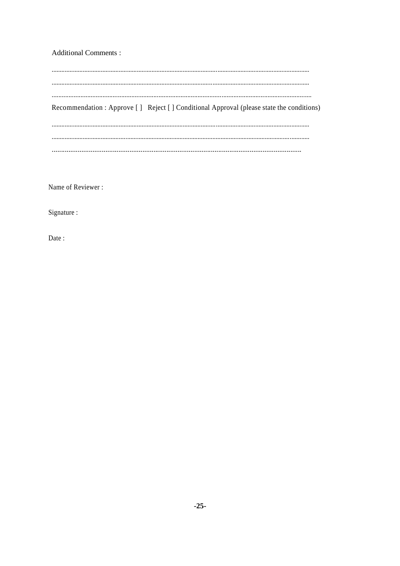**Additional Comments:** 

| Recommendation : Approve [ ] Reject [ ] Conditional Approval (please state the conditions) |
|--------------------------------------------------------------------------------------------|
|                                                                                            |
|                                                                                            |

Name of Reviewer:

Signature :

Date: